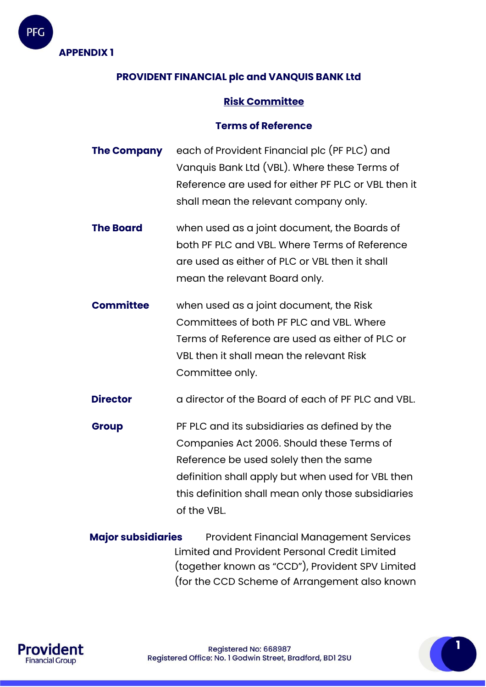

PFG

# **PROVIDENT FINANCIAL plc and VANQUIS BANK Ltd**

### **Risk Committee**

#### **Terms of Reference**

- **The Company** each of Provident Financial plc (PF PLC) and Vanquis Bank Ltd (VBL). Where these Terms of Reference are used for either PF PLC or VBL then it shall mean the relevant company only.
- **The Board** when used as a joint document, the Boards of both PF PLC and VBL. Where Terms of Reference are used as either of PLC or VBL then it shall mean the relevant Board only.
- **Committee** when used as a joint document, the Risk Committees of both PF PLC and VBL. Where Terms of Reference are used as either of PLC or VBL then it shall mean the relevant Risk Committee only.

**Director** a director of the Board of each of PF PLC and VBL.

**Group** PF PLC and its subsidiaries as defined by the Companies Act 2006. Should these Terms of Reference be used solely then the same definition shall apply but when used for VBL then this definition shall mean only those subsidiaries of the VBL.

**Major subsidiaries** Provident Financial Management Services Limited and Provident Personal Credit Limited (together known as "CCD"), Provident SPV Limited (for the CCD Scheme of Arrangement also known

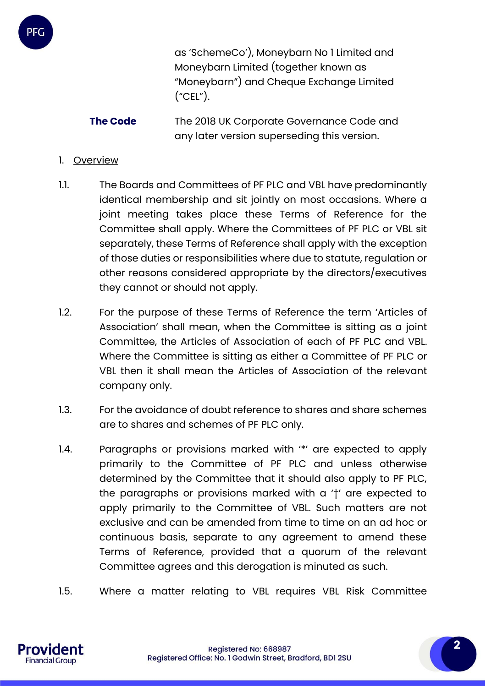

**The Code** The 2018 UK Corporate Governance Code and any later version superseding this version.

#### 1. Overview

- 1.1. The Boards and Committees of PF PLC and VBL have predominantly identical membership and sit jointly on most occasions. Where a joint meeting takes place these Terms of Reference for the Committee shall apply. Where the Committees of PF PLC or VBL sit separately, these Terms of Reference shall apply with the exception of those duties or responsibilities where due to statute, regulation or other reasons considered appropriate by the directors/executives they cannot or should not apply.
- 1.2. For the purpose of these Terms of Reference the term 'Articles of Association' shall mean, when the Committee is sitting as a joint Committee, the Articles of Association of each of PF PLC and VBL. Where the Committee is sitting as either a Committee of PF PLC or VBL then it shall mean the Articles of Association of the relevant company only.
- 1.3. For the avoidance of doubt reference to shares and share schemes are to shares and schemes of PF PLC only.
- 1.4. Paragraphs or provisions marked with '\*' are expected to apply primarily to the Committee of PF PLC and unless otherwise determined by the Committee that it should also apply to PF PLC, the paragraphs or provisions marked with a '†' are expected to apply primarily to the Committee of VBL. Such matters are not exclusive and can be amended from time to time on an ad hoc or continuous basis, separate to any agreement to amend these Terms of Reference, provided that a quorum of the relevant Committee agrees and this derogation is minuted as such.
- 1.5. Where a matter relating to VBL requires VBL Risk Committee

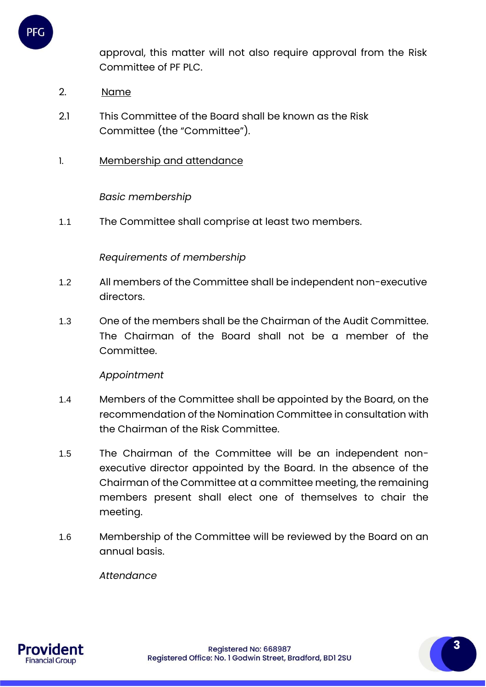

approval, this matter will not also require approval from the Risk Committee of PF PLC.

- 2. Name
- 2.1 This Committee of the Board shall be known as the Risk Committee (the "Committee").
- 1. Membership and attendance

### *Basic membership*

1.1 The Committee shall comprise at least two members.

#### *Requirements of membership*

- 1.2 All members of the Committee shall be independent non-executive directors.
- 1.3 One of the members shall be the Chairman of the Audit Committee. The Chairman of the Board shall not be a member of the Committee.

#### *Appointment*

- 1.4 Members of the Committee shall be appointed by the Board, on the recommendation of the Nomination Committee in consultation with the Chairman of the Risk Committee.
- 1.5 The Chairman of the Committee will be an independent nonexecutive director appointed by the Board. In the absence of the Chairman of the Committee at a committee meeting, the remaining members present shall elect one of themselves to chair the meeting.
- 1.6 Membership of the Committee will be reviewed by the Board on an annual basis.

 *Attendance* 

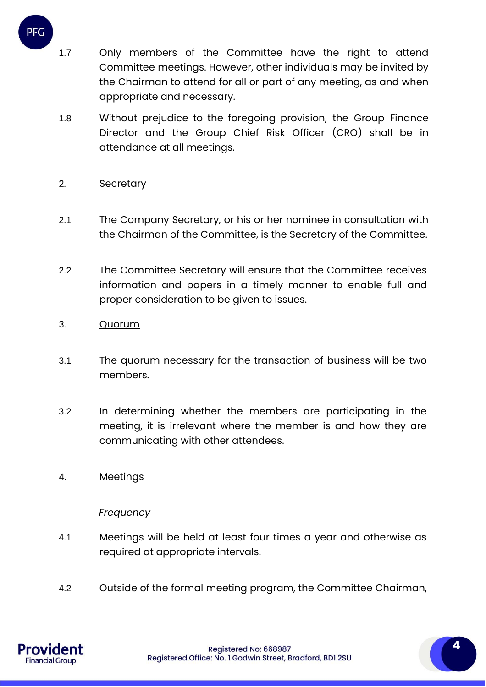- 1.7 Only members of the Committee have the right to attend Committee meetings. However, other individuals may be invited by the Chairman to attend for all or part of any meeting, as and when appropriate and necessary.
- 1.8 Without prejudice to the foregoing provision, the Group Finance Director and the Group Chief Risk Officer (CRO) shall be in attendance at all meetings.

### 2. Secretary

PFG

- 2.1 The Company Secretary, or his or her nominee in consultation with the Chairman of the Committee, is the Secretary of the Committee.
- 2.2 The Committee Secretary will ensure that the Committee receives information and papers in a timely manner to enable full and proper consideration to be given to issues.
- 3. Quorum
- 3.1 The quorum necessary for the transaction of business will be two members.
- 3.2 In determining whether the members are participating in the meeting, it is irrelevant where the member is and how they are communicating with other attendees.
- 4. Meetings

#### *Frequency*

- 4.1 Meetings will be held at least four times a year and otherwise as required at appropriate intervals.
- 4.2 Outside of the formal meeting program, the Committee Chairman,

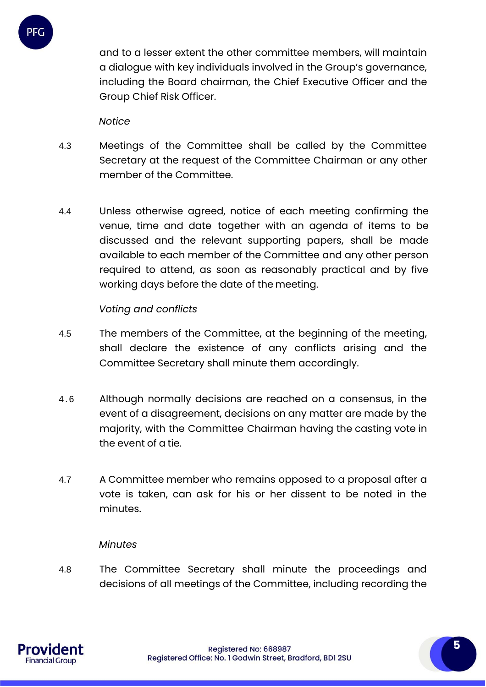

and to a lesser extent the other committee members, will maintain a dialogue with key individuals involved in the Group's governance, including the Board chairman, the Chief Executive Officer and the Group Chief Risk Officer.

*Notice*

- 4.3 Meetings of the Committee shall be called by the Committee Secretary at the request of the Committee Chairman or any other member of the Committee.
- 4.4 Unless otherwise agreed, notice of each meeting confirming the venue, time and date together with an agenda of items to be discussed and the relevant supporting papers, shall be made available to each member of the Committee and any other person required to attend, as soon as reasonably practical and by five working days before the date of the meeting.

*Voting and conflicts*

- 4.5 The members of the Committee, at the beginning of the meeting, shall declare the existence of any conflicts arising and the Committee Secretary shall minute them accordingly.
- 4 . 6 Although normally decisions are reached on a consensus, in the event of a disagreement, decisions on any matter are made by the majority, with the Committee Chairman having the casting vote in the event of a tie.
- 4.7 A Committee member who remains opposed to a proposal after a vote is taken, can ask for his or her dissent to be noted in the minutes.

# *Minutes*

4.8 The Committee Secretary shall minute the proceedings and decisions of all meetings of the Committee, including recording the

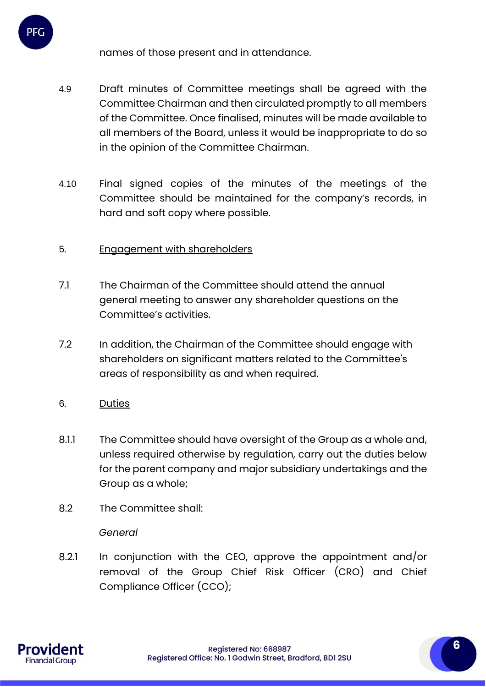names of those present and in attendance.

- 4.9 Draft minutes of Committee meetings shall be agreed with the Committee Chairman and then circulated promptly to all members of the Committee. Once finalised, minutes will be made available to all members of the Board, unless it would be inappropriate to do so in the opinion of the Committee Chairman.
- 4.10 Final signed copies of the minutes of the meetings of the Committee should be maintained for the company's records, in hard and soft copy where possible.

# 5. Engagement with shareholders

- 7.1 The Chairman of the Committee should attend the annual general meeting to answer any shareholder questions on the Committee's activities.
- 7.2 In addition, the Chairman of the Committee should engage with shareholders on significant matters related to the Committee's areas of responsibility as and when required.
- 6. Duties

PFC

- 8.1.1 The Committee should have oversight of the Group as a whole and, unless required otherwise by regulation, carry out the duties below for the parent company and major subsidiary undertakings and the Group as a whole;
- 8.2 The Committee shall:

# *General*

8.2.1 In conjunction with the CEO, approve the appointment and/or removal of the Group Chief Risk Officer (CRO) and Chief Compliance Officer (CCO);

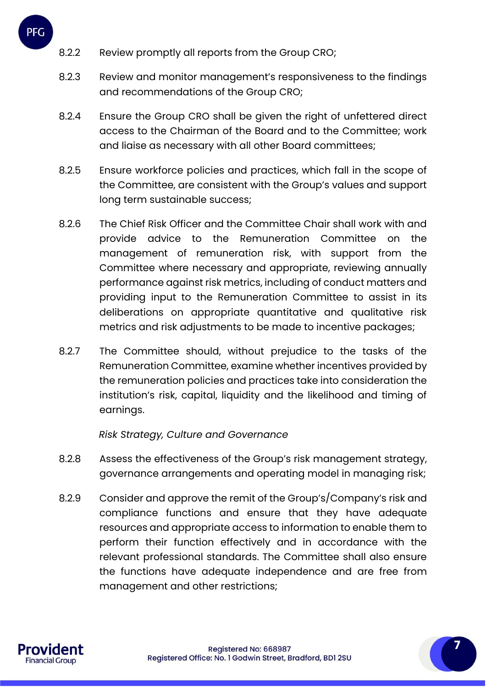- 8.2.2 Review promptly all reports from the Group CRO;
- 8.2.3 Review and monitor management's responsiveness to the findings and recommendations of the Group CRO;
- 8.2.4 Ensure the Group CRO shall be given the right of unfettered direct access to the Chairman of the Board and to the Committee; work and liaise as necessary with all other Board committees;
- 8.2.5 Ensure workforce policies and practices, which fall in the scope of the Committee, are consistent with the Group's values and support long term sustainable success;
- 8.2.6 The Chief Risk Officer and the Committee Chair shall work with and provide advice to the Remuneration Committee on the management of remuneration risk, with support from the Committee where necessary and appropriate, reviewing annually performance against risk metrics, including of conduct matters and providing input to the Remuneration Committee to assist in its deliberations on appropriate quantitative and qualitative risk metrics and risk adjustments to be made to incentive packages;
- 8.2.7 The Committee should, without prejudice to the tasks of the Remuneration Committee, examine whether incentives provided by the remuneration policies and practices take into consideration the institution's risk, capital, liquidity and the likelihood and timing of earnings.

# *Risk Strategy, Culture and Governance*

- 8.2.8 Assess the effectiveness of the Group's risk management strategy, governance arrangements and operating model in managing risk;
- 8.2.9 Consider and approve the remit of the Group's/Company's risk and compliance functions and ensure that they have adequate resources and appropriate access to information to enable them to perform their function effectively and in accordance with the relevant professional standards. The Committee shall also ensure the functions have adequate independence and are free from management and other restrictions;

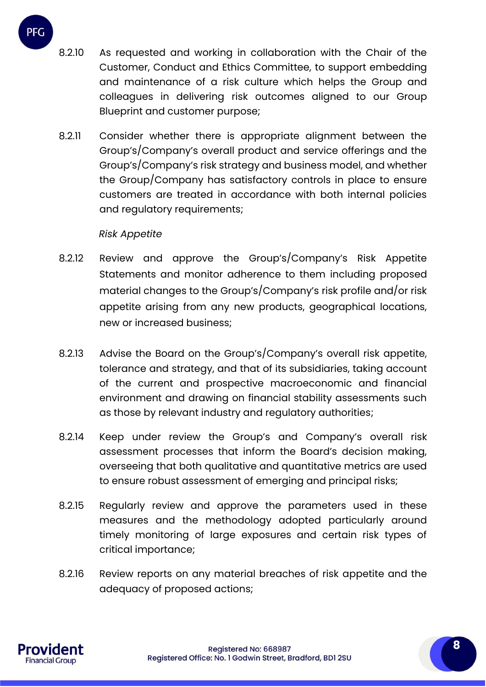- 8.2.10 As requested and working in collaboration with the Chair of the Customer, Conduct and Ethics Committee, to support embedding and maintenance of a risk culture which helps the Group and colleagues in delivering risk outcomes aligned to our Group Blueprint and customer purpose;
- 8.2.11 Consider whether there is appropriate alignment between the Group's/Company's overall product and service offerings and the Group's/Company's risk strategy and business model, and whether the Group/Company has satisfactory controls in place to ensure customers are treated in accordance with both internal policies and regulatory requirements;

### *Risk Appetite*

- 8.2.12 Review and approve the Group's/Company's Risk Appetite Statements and monitor adherence to them including proposed material changes to the Group's/Company's risk profile and/or risk appetite arising from any new products, geographical locations, new or increased business;
- 8.2.13 Advise the Board on the Group's/Company's overall risk appetite, tolerance and strategy, and that of its subsidiaries, taking account of the current and prospective macroeconomic and financial environment and drawing on financial stability assessments such as those by relevant industry and regulatory authorities;
- 8.2.14 Keep under review the Group's and Company's overall risk assessment processes that inform the Board's decision making, overseeing that both qualitative and quantitative metrics are used to ensure robust assessment of emerging and principal risks;
- 8.2.15 Regularly review and approve the parameters used in these measures and the methodology adopted particularly around timely monitoring of large exposures and certain risk types of critical importance;
- 8.2.16 Review reports on any material breaches of risk appetite and the adequacy of proposed actions;

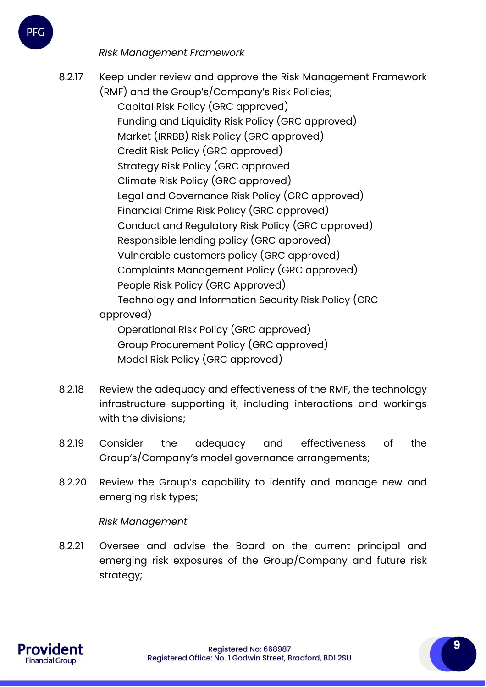*Risk Management Framework*

- 8.2.17 Keep under review and approve the Risk Management Framework (RMF) and the Group's/Company's Risk Policies; Capital Risk Policy (GRC approved) Funding and Liquidity Risk Policy (GRC approved) Market (IRRBB) Risk Policy (GRC approved) Credit Risk Policy (GRC approved) Strategy Risk Policy (GRC approved Climate Risk Policy (GRC approved) Legal and Governance Risk Policy (GRC approved) Financial Crime Risk Policy (GRC approved) Conduct and Regulatory Risk Policy (GRC approved) Responsible lending policy (GRC approved) Vulnerable customers policy (GRC approved) Complaints Management Policy (GRC approved) People Risk Policy (GRC Approved) Technology and Information Security Risk Policy (GRC approved) Operational Risk Policy (GRC approved) Group Procurement Policy (GRC approved) Model Risk Policy (GRC approved)
- 8.2.18 Review the adequacy and effectiveness of the RMF, the technology infrastructure supporting it, including interactions and workings with the divisions;
- 8.2.19 Consider the adequacy and effectiveness of the Group's/Company's model governance arrangements;
- 8.2.20 Review the Group's capability to identify and manage new and emerging risk types;

*Risk Management* 

8.2.21 Oversee and advise the Board on the current principal and emerging risk exposures of the Group/Company and future risk strategy;

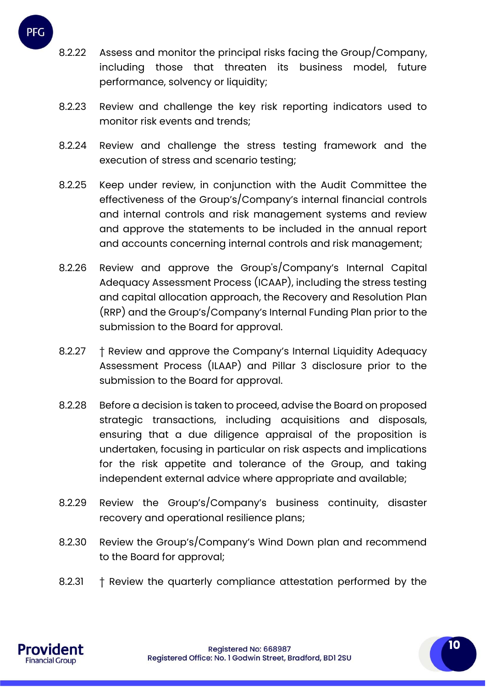

- 8.2.22 Assess and monitor the principal risks facing the Group/Company, including those that threaten its business model, future performance, solvency or liquidity;
- 8.2.23 Review and challenge the key risk reporting indicators used to monitor risk events and trends;
- 8.2.24 Review and challenge the stress testing framework and the execution of stress and scenario testing;
- 8.2.25 Keep under review, in conjunction with the Audit Committee the effectiveness of the Group's/Company's internal financial controls and internal controls and risk management systems and review and approve the statements to be included in the annual report and accounts concerning internal controls and risk management;
- 8.2.26 Review and approve the Group's/Company's Internal Capital Adequacy Assessment Process (ICAAP), including the stress testing and capital allocation approach, the Recovery and Resolution Plan (RRP) and the Group's/Company's Internal Funding Plan prior to the submission to the Board for approval.
- 8.2.27 † Review and approve the Company's Internal Liquidity Adequacy Assessment Process (ILAAP) and Pillar 3 disclosure prior to the submission to the Board for approval.
- 8.2.28 Before a decision is taken to proceed, advise the Board on proposed strategic transactions, including acquisitions and disposals, ensuring that a due diligence appraisal of the proposition is undertaken, focusing in particular on risk aspects and implications for the risk appetite and tolerance of the Group, and taking independent external advice where appropriate and available;
- 8.2.29 Review the Group's/Company's business continuity, disaster recovery and operational resilience plans;
- 8.2.30 Review the Group's/Company's Wind Down plan and recommend to the Board for approval;
- 8.2.31 † Review the quarterly compliance attestation performed by the

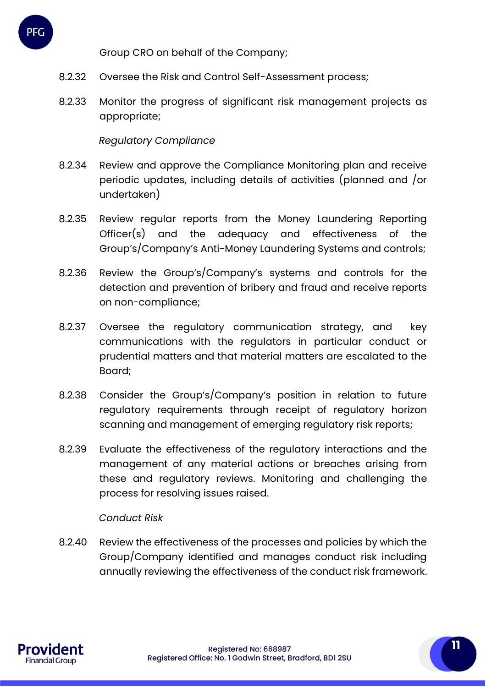

- 8.2.32 Oversee the Risk and Control Self-Assessment process;
- 8.2.33 Monitor the progress of significant risk management projects as appropriate;

### *Regulatory Compliance*

- 8.2.34 Review and approve the Compliance Monitoring plan and receive periodic updates, including details of activities (planned and /or undertaken)
- 8.2.35 Review regular reports from the Money Laundering Reporting Officer(s) and the adequacy and effectiveness of the Group's/Company's Anti-Money Laundering Systems and controls;
- 8.2.36 Review the Group's/Company's systems and controls for the detection and prevention of bribery and fraud and receive reports on non-compliance;
- 8.2.37 Oversee the regulatory communication strategy, and key communications with the regulators in particular conduct or prudential matters and that material matters are escalated to the Board;
- 8.2.38 Consider the Group's/Company's position in relation to future regulatory requirements through receipt of regulatory horizon scanning and management of emerging regulatory risk reports;
- 8.2.39 Evaluate the effectiveness of the regulatory interactions and the management of any material actions or breaches arising from these and regulatory reviews. Monitoring and challenging the process for resolving issues raised.

#### *Conduct Risk*

8.2.40 Review the effectiveness of the processes and policies by which the Group/Company identified and manages conduct risk including annually reviewing the effectiveness of the conduct risk framework.

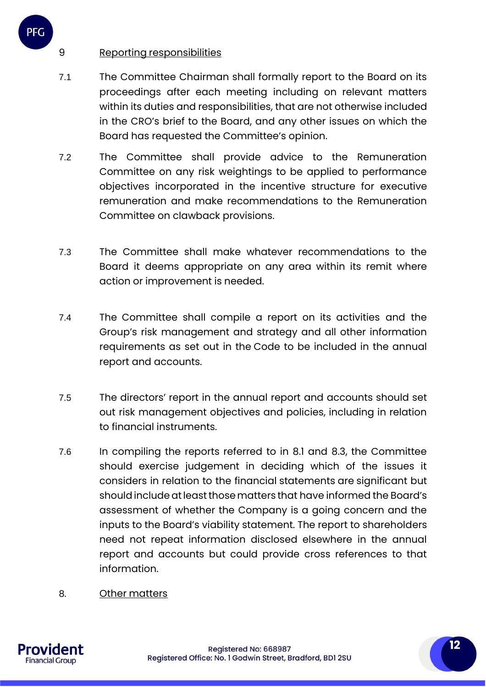# 9 Reporting responsibilities

PFG

- 7.1 The Committee Chairman shall formally report to the Board on its proceedings after each meeting including on relevant matters within its duties and responsibilities, that are not otherwise included in the CRO's brief to the Board, and any other issues on which the Board has requested the Committee's opinion.
- 7.2 The Committee shall provide advice to the Remuneration Committee on any risk weightings to be applied to performance objectives incorporated in the incentive structure for executive remuneration and make recommendations to the Remuneration Committee on clawback provisions.
- 7.3 The Committee shall make whatever recommendations to the Board it deems appropriate on any area within its remit where action or improvement is needed.
- 7.4 The Committee shall compile a report on its activities and the Group's risk management and strategy and all other information requirements as set out in the Code to be included in the annual report and accounts.
- 7.5 The directors' report in the annual report and accounts should set out risk management objectives and policies, including in relation to financial instruments.
- 7.6 In compiling the reports referred to in 8.1 and 8.3, the Committee should exercise judgement in deciding which of the issues it considers in relation to the financial statements are significant but should include at least those matters that have informed the Board's assessment of whether the Company is a going concern and the inputs to the Board's viability statement. The report to shareholders need not repeat information disclosed elsewhere in the annual report and accounts but could provide cross references to that information.
- 8. Other matters

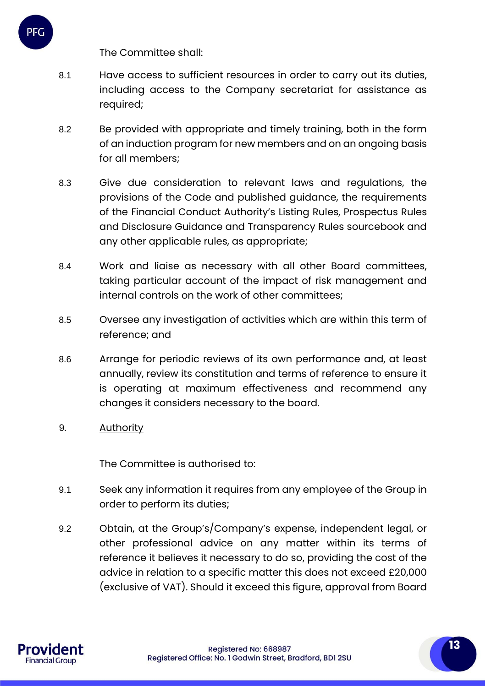The Committee shall:

PFC

- 8.1 Have access to sufficient resources in order to carry out its duties, including access to the Company secretariat for assistance as required;
- 8.2 Be provided with appropriate and timely training, both in the form of an induction program for new members and on an ongoing basis for all members;
- 8.3 Give due consideration to relevant laws and regulations, the provisions of the Code and published guidance, the requirements of the Financial Conduct Authority's Listing Rules, Prospectus Rules and Disclosure Guidance and Transparency Rules sourcebook and any other applicable rules, as appropriate;
- 8.4 Work and liaise as necessary with all other Board committees, taking particular account of the impact of risk management and internal controls on the work of other committees;
- 8.5 Oversee any investigation of activities which are within this term of reference; and
- 8.6 Arrange for periodic reviews of its own performance and, at least annually, review its constitution and terms of reference to ensure it is operating at maximum effectiveness and recommend any changes it considers necessary to the board.
- 9. Authority

The Committee is authorised to:

- 9.1 Seek any information it requires from any employee of the Group in order to perform its duties;
- 9.2 Obtain, at the Group's/Company's expense, independent legal, or other professional advice on any matter within its terms of reference it believes it necessary to do so, providing the cost of the advice in relation to a specific matter this does not exceed £20,000 (exclusive of VAT). Should it exceed this figure, approval from Board